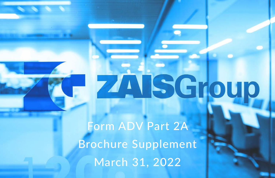# ZAISGroup

Form ADV Part 2A Brochure Supplement March 31, 2022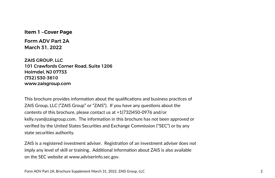**Item 1 – Cover Page** 

Form ADV Part 2A March 31, 2022

ZAIS GROUP, LLC 101 Crawfords Corner Road, Suite 1206 Holmdel, NJ 07733 (732) 530-3610 www.zaisgroup.com

This brochure provides information about the qualifications and business practices of ZAIS Group, LLC ("ZAIS Group" or "ZAIS"). If you have any questions about the contents of this brochure, please contact us at +1(732)450-0976 and/or kelly.ryan@zaisgroup.com. The information in this brochure has not been approved or verified by the United States Securiঞes and Exchange Commission ("SEC") or by any state securities authority.

ZAIS is a registered investment adviser. Registration of an investment adviser does not imply any level of skill or training. Additional information about ZAIS is also available on the SEC website at www.adviserinfo.sec.gov.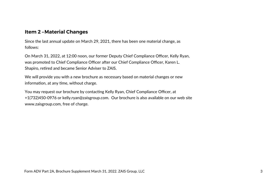# **Item 2 – Material Changes**

Since the last annual update on March 29, 2021, there has been one material change, as follows:

On March 31, 2022, at 12:00 noon, our former Deputy Chief Compliance Officer, Kelly Ryan, was promoted to Chief Compliance Officer after our Chief Compliance Officer, Karen L. Shapiro, retired and became Senior Adviser to ZAIS.

We will provide you with a new brochure as necessary based on material changes or new information, at any time, without charge.

You may request our brochure by contacting Kelly Ryan, Chief Compliance Officer, at +1(732)450-0976 or kelly.ryan@zaisgroup.com. Our brochure is also available on our web site www.zaisgroup.com, free of charge.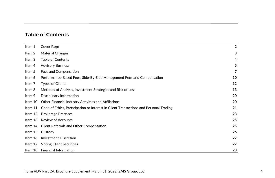# Table of Contents

| Item 1  | Cover Page                                                                            | $\overline{2}$ |
|---------|---------------------------------------------------------------------------------------|----------------|
| Item 2  | Material Changes                                                                      | 3              |
| Item 3  | <b>Table of Contents</b>                                                              | 4              |
| Item 4  | <b>Advisory Business</b>                                                              | 5              |
| Item 5  | Fees and Compensation                                                                 | 7              |
| Item 6  | Performance-Based Fees, Side-By-Side Management Fees and Compensation                 | 10             |
| Item 7  | <b>Types of Clients</b>                                                               | 12             |
| Item 8  | Methods of Analysis, Investment Strategies and Risk of Loss                           | 13             |
| Item 9  | Disciplinary Information                                                              | 20             |
| Item 10 | Other Financial Industry Activities and Affiliations                                  | 20             |
| Item 11 | Code of Ethics, Participation or Interest in Client Transactions and Personal Trading | 21             |
| Item 12 | <b>Brokerage Practices</b>                                                            | 23             |
| Item 13 | <b>Review of Accounts</b>                                                             | 25             |
|         | Item 14 Client Referrals and Other Compensation                                       | 25             |
|         | Item 15 Custody                                                                       | 26             |
| Item 16 | Investment Discretion                                                                 | 27             |
| Item 17 | Voting Client Securities                                                              | 27             |
|         | Item 18 Financial Information                                                         | 28             |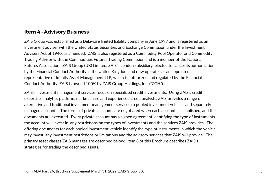## **Item 4 – Advisory Business**

ZAIS Group was established as a Delaware limited liability company in June 1997 and is registered as an investment adviser with the United States Securities and Exchange Commission under the Investment Advisers Act of 1940, as amended. ZAIS is also registered as a Commodity Pool Operator and Commodity Trading Advisor with the Commodities Futures Trading Commission and is a member of the National Futures Association. ZAIS Group (UK) Limited, ZAIS's London subsidiary, elected to cancel its authorization by the Financial Conduct Authority in the United Kingdom and now operates as an appointed representative of Infinity Asset Management LLP, which is authorized and regulated by the Financial Conduct Authority. ZAIS is owned 100% by ZAIS Group Holdings, Inc. ("ZGH").

ZAIS's investment management services focus on specialized credit investments. Using ZAIS's credit expertise, analytics platform, market share and experienced credit analysts, ZAIS provides a range of alternative and traditional investment management services to pooled investment vehicles and separately managed accounts. The terms of private accounts are negotiated when each account is established, and the documents are executed. Every private account has a signed agreement identifying the type of instruments the account will invest in, any restrictions on the types of investments and the services ZAIS provides. The offering documents for each pooled investment vehicle identify the type of instruments in which the vehicle may invest, any investment restrictions or limitations and the advisory services that ZAIS will provide. The primary asset classes ZAIS manages are described below: Item 8 of this Brochure describes ZAIS's strategies for trading the described assets.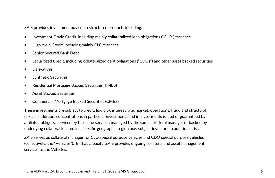ZAIS provides investment advice on structured products including:

- Investment Grade Credit, including mainly collateralized loan obligations ("CLO") tranches
- High Yield Credit, including mainly CLO tranches
- Senior Secured Bank Debt
- Securitized Credit, including collateralized debt obligations ("CDOs") and other asset backed securities
- **Derivatives**
- Synthetic Securities
- Residential Mortgage Backed Securities (RMBS)
- Asset Backed Securiঞes
- Commercial Mortgage Backed Securiঞes (CMBS)

These investments are subject to credit, liquidity, interest rate, market, operations, fraud and structural risks. In addition, concentrations in particular investments and in investments issued or guaranteed by affiliated obligors, serviced by the same servicer, managed by the same collateral manager or backed by underlying collateral located in a specific geographic region may subject investors to additional risk.

ZAIS serves as collateral manager for CLO special purpose vehicles and CDO special purpose vehicles (collectively, the "Vehicles"). In that capacity, ZAIS provides ongoing collateral and asset management services to the Vehicles.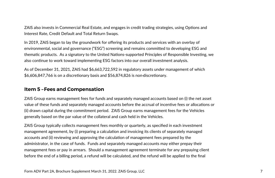ZAIS also invests in Commercial Real Estate, and engages in credit trading strategies, using Options and Interest Rate, Credit Default and Total Return Swaps.

In 2019, ZAIS began to lay the groundwork for offering its products and services with an overlay of environmental, social and governance ("ESG") screening and remains committed to developing ESG and thematic products. As a signatory to the United Nations-supported Principles of Responsible Investing, we also continue to work toward implementing ESG factors into our overall investment analysis.

As of December 31, 2021, ZAIS had \$6,663,722,592 in regulatory assets under management of which  $$6,606,847,766$  is on a discretionary basis and  $$56,874,826$  is non-discretionary.

# **Item 5 – Fees and Compensation**

ZAIS Group earns management fees for funds and separately managed accounts based on (i) the net asset value of these funds and separately managed accounts before the accrual of incentive fees or allocations or (ii) drawn capital during the commitment period. ZAIS Group earns management fees for the Vehicles generally based on the par value of the collateral and cash held in the Vehicles.

ZAIS Group typically collects management fees monthly or quarterly, as specified in each investment management agreement, by (i) preparing a calculation and invoicing its clients of separately managed accounts and (ii) reviewing and approving the calculation of management fees prepared by the administrator, in the case of funds. Funds and separately managed accounts may either prepay their management fees or pay in arrears. Should a management agreement terminate for any prepaying client before the end of a billing period, a refund will be calculated, and the refund will be applied to the final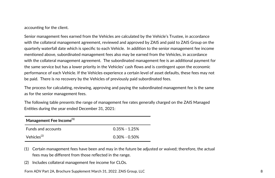accounting for the client.

Senior management fees earned from the Vehicles are calculated by the Vehicle's Trustee, in accordance with the collateral management agreement, reviewed and approved by ZAIS and paid to ZAIS Group on the quarterly waterfall date which is specific to each Vehicle. In addiঞon to the senior management fee income mentioned above, subordinated management fees also may be earned from the Vehicles, in accordance with the collateral management agreement. The subordinated management fee is an additional payment for the same service but has a lower priority in the Vehicles' cash flows and is contingent upon the economic performance of each Vehicle. If the Vehicles experience a certain level of asset defaults, these fees may not be paid. There is no recovery by the Vehicles of previously paid subordinated fees.

The process for calculating, reviewing, approving and paying the subordinated management fee is the same as for the senior management fees.

The following table presents the range of management fee rates generally charged on the ZAIS Managed Entities during the year ended December 31, 2021:

| Management Fee Income <sup>(1)</sup> |                   |  |  |
|--------------------------------------|-------------------|--|--|
| <b>Funds and accounts</b>            | $0.35\% - 1.25\%$ |  |  |
| Vehicles <sup>(2)</sup>              | $0.30\% - 0.50\%$ |  |  |

- (1) Certain management fees have been and may in the future be adjusted or waived; therefore, the actual fees may be different from those reflected in the range.
- (2) Includes collateral management fee income for CLOs.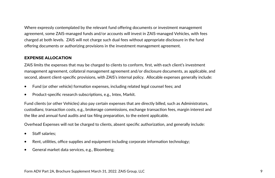Where expressly contemplated by the relevant fund offering documents or investment management agreement, some ZAIS-managed funds and/or accounts will invest in ZAIS-managed Vehicles, with fees charged at both levels. ZAIS will not charge such dual fees without appropriate disclosure in the fund offering documents or authorizing provisions in the investment management agreement.

### **EXPENSE ALLOCATION**

ZAIS limits the expenses that may be charged to clients to conform, first, with each client's investment management agreement, collateral management agreement and/or disclosure documents, as applicable, and second, absent client-specific provisions, with ZAIS's internal policy. Allocable expenses generally include:

- Fund (or other vehicle) formation expenses, including related legal counsel fees; and
- Product-specific research subscriptions, e.g., Intex, Markit.

Fund clients (or other Vehicles) also pay certain expenses that are directly billed, such as Administrators, custodians; transaction costs, e.g., brokerage commissions, exchange transaction fees, margin interest and the like and annual fund audits and tax filing preparation, to the extent applicable.

Overhead Expenses will not be charged to clients, absent specific authorization, and generally include:

- Staff salaries;
- Rent, utilities, office supplies and equipment including corporate information technology;
- General market data services, e.g., Bloomberg;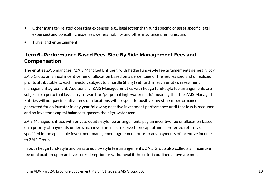- Other manager-related operating expenses, e.g., legal (other than fund specific or asset specific legal expenses) and consulting expenses, general liability and other insurance premiums; and
- Travel and entertainment.

# **Item 6 – Performance-Based Fees, Side-By-Side Management Fees and Compensation**

The entities ZAIS manages ("ZAIS Managed Entities") with hedge fund-style fee arrangements generally pay ZAIS Group an annual incentive fee or allocation based on a percentage of the net realized and unrealized profits attributable to each investor, subject to a hurdle (if any) set forth in each entity's investment management agreement. Additionally, ZAIS Managed Entities with hedge fund-style fee arrangements are subject to a perpetual loss carry forward, or "perpetual high-water mark," meaning that the ZAIS Managed Entities will not pay incentive fees or allocations with respect to positive investment performance generated for an investor in any year following negative investment performance until that loss is recouped, and an investor's capital balance surpasses the high-water mark.

ZAIS Managed Entities with private equity-style fee arrangements pay an incentive fee or allocation based on a priority of payments under which investors must receive their capital and a preferred return, as specified in the applicable investment management agreement, prior to any payments of incentive income to ZAIS Group.

In both hedge fund-style and private equity-style fee arrangements, ZAIS Group also collects an incentive fee or allocation upon an investor redemption or withdrawal if the criteria outlined above are met.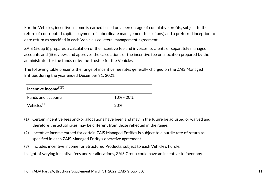For the Vehicles, incentive income is earned based on a percentage of cumulative profits, subject to the return of contributed capital, payment of subordinate management fees (if any) and a preferred inception to date return as specified in each Vehicle's collateral management agreement.

ZAIS Group (i) prepares a calculation of the incentive fee and invoices its clients of separately managed accounts and (ii) reviews and approves the calculations of the incentive fee or allocation prepared by the administrator for the funds or by the Trustee for the Vehicles.

The following table presents the range of incentive fee rates generally charged on the ZAIS Managed Entities during the year ended December 31, 2021:

| Incentive Income $^{(1)(2)}$ |           |  |  |
|------------------------------|-----------|--|--|
| <b>Funds and accounts</b>    | 10% - 20% |  |  |
| Vehicles <sup>(3)</sup>      | 20%       |  |  |

- $(1)$  Certain incentive fees and/or allocations have been and may in the future be adjusted or waived and therefore the actual rates may be different from those reflected in the range.
- (2) Incentive income earned for certain ZAIS Managed Entities is subject to a hurdle rate of return as specified in each ZAIS Managed Entity's operative agreement.
- (3) Includes incentive income for Structured Products, subject to each Vehicle's hurdle.

In light of varying incentive fees and/or allocations, ZAIS Group could have an incentive to favor any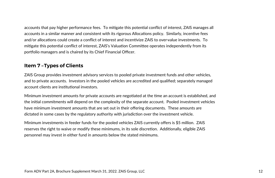accounts that pay higher performance fees. To mitigate this potential conflict of interest, ZAIS manages all accounts in a similar manner and consistent with its rigorous Allocations policy. Similarly, incentive fees and/or allocations could create a conflict of interest and incentivize ZAIS to over-value investments. To mitigate this potential conflict of interest, ZAIS's Valuation Committee operates independently from its portfolio managers and is chaired by its Chief Financial Officer.

# **Item 7 – Types of Clients**

ZAIS Group provides investment advisory services to pooled private investment funds and other vehicles, and to private accounts. Investors in the pooled vehicles are accredited and qualified; separately managed account clients are institutional investors.

Minimum investment amounts for private accounts are negotiated at the time an account is established, and the iniঞal commitments will depend on the complexity of the separate account. Pooled investment vehicles have minimum investment amounts that are set out in their offering documents. These amounts are dictated in some cases by the regulatory authority with jurisdiction over the investment vehicle.

Minimum investments in feeder funds for the pooled vehicles ZAIS currently offers is \$5 million. ZAIS reserves the right to waive or modify these minimums, in its sole discretion. Additionally, eligible ZAIS personnel may invest in either fund in amounts below the stated minimums.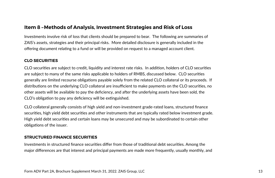# **Item 8 – Methods of Analysis, Investment Strategies and Risk of Loss**

Investments involve risk of loss that clients should be prepared to bear. The following are summaries of ZAIS's assets, strategies and their principal risks. More detailed disclosure is generally included in the offering document relating to a fund or will be provided on request to a managed account client.

### **CLO SECURITIES**

CLO securities are subject to credit, liquidity and interest rate risks. In addition, holders of CLO securities are subject to many of the same risks applicable to holders of RMBS, discussed below. CLO securiঞes generally are limited recourse obligations payable solely from the related CLO collateral or its proceeds. If distributions on the underlying CLO collateral are insufficient to make payments on the CLO securities, no other assets will be available to pay the deficiency, and after the underlying assets have been sold, the CLO's obligation to pay any deficiency will be extinguished.

CLO collateral generally consists of high yield and non-investment grade-rated loans, structured finance securities, high yield debt securities and other instruments that are typically rated below investment grade. High yield debt securities and certain loans may be unsecured and may be subordinated to certain other obligations of the issuer.

### **STRUCTURED FINANCE SECURITIES**

Investments in structured finance securities differ from those of traditional debt securities. Among the major differences are that interest and principal payments are made more frequently, usually monthly, and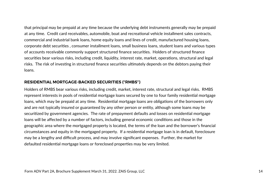that principal may be prepaid at any time because the underlying debt instruments generally may be prepaid at any time. Credit card receivables, automobile, boat and recreational vehicle installment sales contracts, commercial and industrial bank loans, home equity loans and lines of credit, manufactured housing loans, corporate debt securiঞes , consumer installment loans, small business loans, student loans and various types of accounts receivable commonly support structured finance securiঞes. Holders of structured finance securities bear various risks, including credit, liquidity, interest rate, market, operations, structural and legal risks. The risk of investing in structured finance securities ultimately depends on the debtors paying their loans.

### **RESIDENTIAL MORTGAGE-BACKED SECURITIES ("RMBS")**

Holders of RMBS bear various risks, including credit, market, interest rate, structural and legal risks. RMBS represent interests in pools of residential mortgage loans secured by one to four family residential mortgage loans, which may be prepaid at any time. Residential mortgage loans are obligations of the borrowers only and are not typically insured or guaranteed by any other person or entity, although some loans may be securitized by government agencies. The rate of prepayment defaults and losses on residential mortgage loans will be affected by a number of factors, including general economic conditions and those in the geographic area where the mortgaged property is located, the terms of the loan and the borrower's financial circumstances and equity in the mortgaged property. If a residential mortgage loan is in default, foreclosure may be a lengthy and difficult process, and may involve significant expenses. Further, the market for defaulted residential mortgage loans or foreclosed properties may be very limited.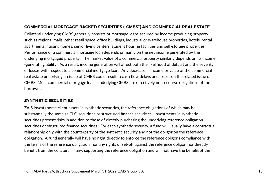### **COMMERCIAL MORTGAGE-BACKED SECURITIES ("CMBS") AND COMMERCIAL REAL ESTATE**

Collateral underlying CMBS generally consists of mortgage loans secured by income producing property, such as regional malls, other retail space, office buildings, industrial or warehouse properties, hotels, rental apartments, nursing homes, senior living centers, student housing facilities and self-storage properties. Performance of a commercial mortgage loan depends primarily on the net income generated by the underlying mortgaged property. The market value of a commercial property similarly depends on its income -generating ability. As a result, income generation will affect both the likelihood of default and the severity of losses with respect to a commercial mortgage loan. Any decrease in income or value of the commercial real estate underlying an issue of CMBS could result in cash flow delays and losses on the related issue of CMBS. Most commercial mortgage loans underlying CMBS are effectively nonrecourse obligations of the borrower.

### **SYNTHETIC SECURITIES**

ZAIS invests some client assets in synthetic securities, the reference obligations of which may be substantially the same as CLO securities or structured finance securities. Investments in synthetic securities present risks in addition to those of directly purchasing the underlying reference obligation securities or structured finance securities. For each synthetic security, a fund will usually have a contractual relationship only with the counterparty of the synthetic security and not the obligor on the reference obligation. A fund generally will have no right directly to enforce the reference obligor's compliance with the terms of the reference obligation, nor any rights of set-off against the reference obligor, nor directly benefit from the collateral, if any, supporting the reference obligation and will not have the benefit of the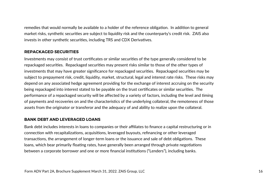remedies that would normally be available to a holder of the reference obligation. In addition to general market risks, synthetic securities are subject to liquidity risk and the counterparty's credit risk. ZAIS also invests in other synthetic securities, including TRS and CDX Derivatives.

### **REPACKAGED SECURITIES**

Investments may consist of trust certificates or similar securities of the type generally considered to be repackaged securities. Repackaged securities may present risks similar to those of the other types of investments that may have greater significance for repackaged securities. Repackaged securities may be subject to prepayment risk, credit, liquidity, market, structural, legal and interest rate risks. These risks may depend on any associated hedge agreement providing for the exchange of interest accruing on the security being repackaged into interest stated to be payable on the trust cerঞficates or similar securiঞes. The performance of a repackaged security will be affected by a variety of factors, including the level and timing of payments and recoveries on and the characteristics of the underlying collateral, the remoteness of those assets from the originator or transferor and the adequacy of and ability to realize upon the collateral.

### **BANK DEBT AND LEVERAGED LOANS**

Bank debt includes interests in loans to companies or their affiliates to finance a capital restructuring or in connection with recapitalizations, acquisitions, leveraged buyouts, refinancing or other leveraged transactions, the arrangement of longer-term loans or the issuance and sale of debt obligations. These loans, which bear primarily floating rates, have generally been arranged through private negotiations between a corporate borrower and one or more financial institutions ("Lenders"), including banks.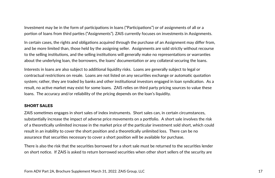Investment may be in the form of participations in loans ("Participations") or of assignments of all or a portion of loans from third parties ("Assignments"). ZAIS currently focuses on investments in Assignments.

In certain cases, the rights and obligations acquired through the purchase of an Assignment may differ from, and be more limited than, those held by the assigning seller. Assignments are sold strictly without recourse to the selling institutions, and the selling institutions will generally make no representations or warranties about the underlying loan, the borrowers, the loans' documentation or any collateral securing the loans.

Interests in loans are also subject to additional liquidity risks. Loans are generally subject to legal or contractual restrictions on resale. Loans are not listed on any securities exchange or automatic quotation system; rather, they are traded by banks and other institutional investors engaged in loan syndication. As a result, no active market may exist for some loans. ZAIS relies on third party pricing sources to value these loans. The accuracy and/or reliability of the pricing depends on the loan's liquidity.

### **SHORT SALES**

ZAIS sometimes engages in short sales of index instruments. Short sales can, in certain circumstances, substantially increase the impact of adverse price movements on a portfolio. A short sale involves the risk of a theoretically unlimited increase in the market price of the particular investment sold short, which could result in an inability to cover the short position and a theoretically unlimited loss. There can be no assurance that securities necessary to cover a short position will be available for purchase.

There is also the risk that the securiঞes borrowed for a short sale must be returned to the securiঞes lender on short notice. If ZAIS is asked to return borrowed securities when other short sellers of the security are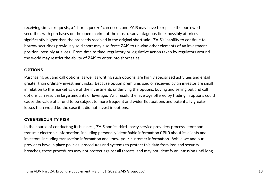receiving similar requests, a "short squeeze" can occur, and ZAIS may have to replace the borrowed securities with purchases on the open market at the most disadvantageous time, possibly at prices significantly higher than the proceeds received in the original short sale. ZAIS's inability to continue to borrow securiঞes previously sold short may also force ZAIS to unwind other elements of an investment position, possibly at a loss. From time to time, regulatory or legislative action taken by regulators around the world may restrict the ability of ZAIS to enter into short sales.

### **OPTIONS**

Purchasing put and call options, as well as writing such options, are highly specialized activities and entail greater than ordinary investment risks. Because option premiums paid or received by an investor are small in relation to the market value of the investments underlying the options, buying and selling put and call options can result in large amounts of leverage. As a result, the leverage offered by trading in options could cause the value of a fund to be subject to more frequent and wider fluctuations and potentially greater losses than would be the case if it did not invest in options.

### **CYBERSECURITY RISK**

In the course of conducting its business, ZAIS and its third -party service providers process, store and transmit electronic information, including personally identifiable information ("PII") about its clients and investors, including transaction information and know-your-customer information. While we and our providers have in place policies, procedures and systems to protect this data from loss and security breaches, these procedures may not protect against all threats, and may not identify an intrusion until long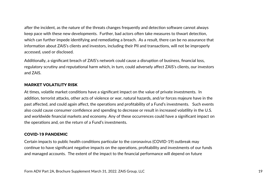after the incident, as the nature of the threats changes frequently and detection software cannot always keep pace with these new developments. Further, bad actors often take measures to thwart detection, which can further impede identifying and remediating a breach. As a result, there can be no assurance that information about ZAIS's clients and investors, including their PII and transactions, will not be improperly accessed, used or disclosed.

Additionally, a significant breach of ZAIS's network could cause a disruption of business, financial loss, regulatory scrutiny and reputational harm which, in turn, could adversely affect ZAIS's clients, our investors and ZAIS.

### **MARKET VOLATILITY RISK**

At times, volatile market conditions have a significant impact on the value of private investments. In addition, terrorist attacks, other acts of violence or war, natural hazards, and/or forces majeure have in the past affected, and could again affect, the operations and profitability of a Fund's investments. Such events also could cause consumer confidence and spending to decrease or result in increased volatility in the U.S. and worldwide financial markets and economy. Any of these occurrences could have a significant impact on the operations and, on the return of a Fund's investments.

### **COVID-19 PANDEMIC**

Certain impacts to public health conditions particular to the coronavirus (COVID-19) outbreak may continue to have significant negative impacts on the operations, profitability and investments of our funds and managed accounts. The extent of the impact to the financial performance will depend on future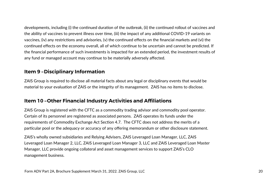developments, including (i) the continued duration of the outbreak, (ii) the continued rollout of vaccines and the ability of vaccines to prevent illness over time, (iii) the impact of any additional COVID-19 variants on vaccines, (iv) any restrictions and advisories, (v) the continued effects on the financial markets and (vi) the continued effects on the economy overall, all of which continue to be uncertain and cannot be predicted. If the financial performance of such investments is impacted for an extended period, the investment results of any fund or managed account may continue to be materially adversely affected.

# **Item 9 – Disciplinary Information**

ZAIS Group is required to disclose all material facts about any legal or disciplinary events that would be material to your evaluation of ZAIS or the integrity of its management. ZAIS has no items to disclose.

# **Item 10 – Other Financial Industry Activities and Affiliations**

ZAIS Group is registered with the CFTC as a commodity trading advisor and commodity pool operator. Certain of its personnel are registered as associated persons. ZAIS operates its funds under the requirements of Commodity Exchange Act Section 4.7. The CFTC does not address the merits of a particular pool or the adequacy or accuracy of any offering memorandum or other disclosure statement.

ZAIS's wholly owned subsidiaries and Relying Advisers, ZAIS Leveraged Loan Manager, LLC, ZAIS Leveraged Loan Manager 2, LLC, ZAIS Leveraged Loan Manager 3, LLC and ZAIS Leveraged Loan Master Manager, LLC provide ongoing collateral and asset management services to support ZAIS's CLO management business.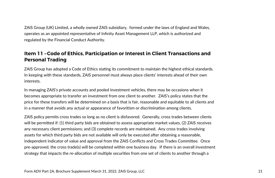ZAIS Group (UK) Limited, a wholly owned ZAIS subsidiary, formed under the laws of England and Wales, operates as an appointed representative of Infinity Asset Management LLP, which is authorized and regulated by the Financial Conduct Authority.

# **Item 11 – Code of Ethics, Participation or Interest in Client Transactions and Personal Trading**

ZAIS Group has adopted a Code of Ethics stating its commitment to maintain the highest ethical standards. In keeping with these standards, ZAIS personnel must always place clients' interests ahead of their own interests.

In managing ZAIS's private accounts and pooled investment vehicles, there may be occasions when it becomes appropriate to transfer an investment from one client to another. ZAIS's policy states that the price for these transfers will be determined on a basis that is fair, reasonable and equitable to all clients and in a manner that avoids any actual or appearance of favoritism or discrimination among clients.

ZAIS policy permits cross trades so long as no client is disfavored. Generally, cross trades between clients will be permitted if: (1) third party bids are obtained to assess appropriate market values, (2) ZAIS receives any necessary client permissions; and (3) complete records are maintained. Any cross trades involving assets for which third party bids are not available will only be executed after obtaining a reasonable, independent indicator of value and approval from the ZAIS Conflicts and Cross Trades Committee. Once pre-approved, the cross trade(s) will be completed within one business day. If there is an overall investment strategy that impacts the re-allocation of multiple securities from one set of clients to another through a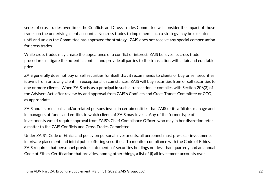series of cross trades over time, the Conflicts and Cross Trades Committee will consider the impact of those trades on the underlying client accounts. No cross trades to implement such a strategy may be executed until and unless the Committee has approved the strategy. ZAIS does not receive any special compensation for cross trades.

While cross trades may create the appearance of a conflict of interest, ZAIS believes its cross trade procedures mitigate the potential conflict and provide all parties to the transaction with a fair and equitable price.

ZAIS generally does not buy or sell securities for itself that it recommends to clients or buy or sell securities it owns from or to any client. In exceptional circumstances, ZAIS will buy securities from or sell securities to one or more clients. When ZAIS acts as a principal in such a transaction, it complies with Section 206(3) of the Advisers Act, after review by and approval from ZAIS's Conflicts and Cross Trades Committee or CCO. as appropriate.

ZAIS and its principals and/or related persons invest in certain entities that ZAIS or its affiliates manage and in managers of funds and entities in which clients of ZAIS may invest. Any of the former type of investments would require approval from ZAIS's Chief Compliance Officer, who may in her discretion refer a matter to the ZAIS Conflicts and Cross Trades Committee.

Under ZAIS's Code of Ethics and policy on personal investments, all personnel must pre-clear investments in private placement and initial public offering securities. To monitor compliance with the Code of Ethics, ZAIS requires that personnel provide statements of securiঞes holdings not less than quarterly and an annual Code of Ethics Certification that provides, among other things, a list of (i) all investment accounts over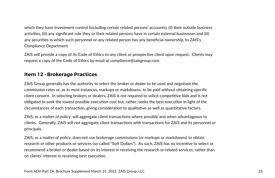which they have investment control (including certain related persons' accounts), (ii) their outside business activities, (iii) any significant role they or their related persons have in certain external businesses and (iii) any securiঞes in which such personnel or any related person has any beneficial ownership, to ZAIS's Compliance Department.

ZAIS will provide a copy of its Code of Ethics to any client or prospective client upon request. Clients may request a copy of the Code of Ethics by email at compliance@zaisgroup.com.

# **Item 12 – Brokerage Practices**

ZAIS Group generally has the authority to select the broker or dealer to be used and negotiate the commission rates or, as in most instances, markups or markdowns, to be paid without obtaining specific client consent. In selecting brokers or dealers, ZAIS is not required to solicit competitive bids and is not obligated to seek the lowest possible execution cost but, rather, seeks the best execution in light of the circumstances of each transaction, giving consideration to qualitative as well as quantitative factors.

ZAIS, as a matter of policy, will aggregate client transactions where possible and when advantageous to clients. Generally, ZAIS will not aggregate client transactions with transactions for ZAIS and its personnel or principals.

ZAIS, as a matter of policy, does not use brokerage commissions (or markups or markdowns) to obtain research or other products or services (so-called "Soft Dollars"). As such, ZAIS has no incentive to select or recommend a broker or dealer based on its interest in receiving the research or related services, rather than on clients' interest in receiving best execution.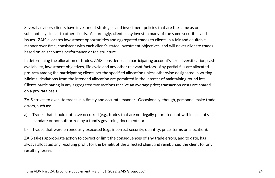Several advisory clients have investment strategies and investment policies that are the same as or substantially similar to other clients. Accordingly, clients may invest in many of the same securities and issues. ZAIS allocates investment opportunities and aggregated trades to clients in a fair and equitable manner over time, consistent with each client's stated investment objectives, and will never allocate trades based on an account's performance or fee structure.

In determining the allocation of trades, ZAIS considers each participating account's size, diversification, cash availability, investment objectives, life cycle and any other relevant factors. Any partial fills are allocated pro-rata among the participating clients per the specified allocation unless otherwise designated in writing. Minimal deviations from the intended allocation are permitted in the interest of maintaining round lots. Clients participating in any aggregated transactions receive an average price; transaction costs are shared on a pro-rata basis.

ZAIS strives to execute trades in a timely and accurate manner. Occasionally, though, personnel make trade errors, such as:

- a) Trades that should not have occurred (e.g., trades that are not legally permitted, not within a client's mandate or not authorized by a fund's governing document), or
- b) Trades that were erroneously executed (e.g., incorrect security, quantity, price, terms or allocation).

ZAIS takes appropriate action to correct or limit the consequences of any trade errors, and to date, has always allocated any resulting profit for the benefit of the affected client and reimbursed the client for any resulting losses.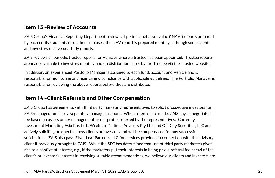# **Item 13 – Review of Accounts**

ZAIS Group's Financial Reporting Department reviews all periodic net asset value ("NAV") reports prepared by each entity's administrator. In most cases, the NAV report is prepared monthly, although some clients and investors receive quarterly reports.

ZAIS reviews all periodic trustee reports for Vehicles where a trustee has been appointed. Trustee reports are made available to investors monthly and on distribution dates by the Trustee via the Trustee website.

In addition, an experienced Portfolio Manager is assigned to each fund, account and Vehicle and is responsible for monitoring and maintaining compliance with applicable guidelines. The Portfolio Manager is responsible for reviewing the above reports before they are distributed.

# **Item 14 – Client Referrals and Other Compensation**

ZAIS Group has agreements with third party marketing representatives to solicit prospective investors for ZAIS-managed funds or a separately managed account. When referrals are made, ZAIS pays a negotiated fee based on assets under management or net profits referred by the representatives. Currently, Investment Marketing Asia Pte. Ltd., Wealth of Nations Advisors Pty Ltd. and Old City Securities, LLC are actively soliciting prospective new clients or investors and will be compensated for any successful solicitations. ZAIS also pays Silver Leaf Partners, LLC for services provided in connection with the advisory client it previously brought to ZAIS. While the SEC has determined that use of third party marketers gives rise to a conflict of interest, e.g., if the marketers put their interests in being paid a referral fee ahead of the client's or investor's interest in receiving suitable recommendations, we believe our clients and investors are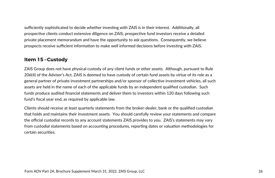sufficiently sophisticated to decide whether investing with ZAIS is in their interest. Additionally, all prospective clients conduct extensive diligence on ZAIS; prospective fund investors receive a detailed private placement memorandum and have the opportunity to ask questions. Consequently, we believe prospects receive sufficient information to make well informed decisions before investing with ZAIS.

# **Item 15 – Custody**

ZAIS Group does not have physical custody of any client funds or other assets. Although, pursuant to Rule 206(4) of the Adviser's Act, ZAIS is deemed to have custody of certain fund assets by virtue of its role as a general partner of private investment partnerships and/or sponsor of collective investment vehicles, all such assets are held in the name of each of the applicable funds by an independent qualified custodian. Such funds produce audited financial statements and deliver them to investors within 120 days following such fund's fiscal year end, as required by applicable law.

Clients should receive at least quarterly statements from the broker-dealer, bank or the qualified custodian that holds and maintains their investment assets. You should carefully review your statements and compare the official custodial records to any account statements ZAIS provides to you. ZAIS's statements may vary from custodial statements based on accounting procedures, reporting dates or valuation methodologies for certain securiঞes.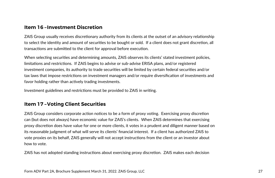# **Item 16 – Investment Discretion**

ZAIS Group usually receives discretionary authority from its clients at the outset of an advisory relationship to select the identity and amount of securities to be bought or sold. If a client does not grant discretion, all transactions are submitted to the client for approval before execution.

When selecting securities and determining amounts, ZAIS observes its clients' stated investment policies, limitations and restrictions. If ZAIS begins to advise or sub-advise ERISA plans, and/or registered investment companies, its authority to trade securities will be limited by certain federal securities and/or tax laws that impose restrictions on investment managers and/or require diversification of investments and favor holding rather than actively trading investments.

Investment guidelines and restrictions must be provided to ZAIS in writing.

# **Item 17 – Voting Client Securities**

ZAIS Group considers corporate action notices to be a form of proxy voting. Exercising proxy discretion can (but does not always) have economic value for ZAIS's clients. When ZAIS determines that exercising proxy discretion does have value for one or more clients, it votes in a prudent and diligent manner based on its reasonable judgment of what will serve its clients' financial interest. If a client has authorized ZAIS to vote proxies on its behalf, ZAIS generally will not accept instrucঞons from the client or an investor about how to vote.

ZAIS has not adopted standing instructions about exercising proxy discretion. ZAIS makes each decision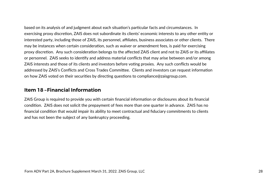based on its analysis of and judgment about each situation's particular facts and circumstances. In exercising proxy discretion, ZAIS does not subordinate its clients' economic interests to any other entity or interested party, including those of ZAIS, its personnel, affiliates, business associates or other clients. There may be instances when certain consideration, such as waiver or amendment fees, is paid for exercising proxy discretion. Any such consideration belongs to the affected ZAIS client and not to ZAIS or its affiliates or personnel. ZAIS seeks to identify and address material conflicts that may arise between and/or among ZAIS interests and those of its clients and investors before voting proxies. Any such conflicts would be addressed by ZAIS's Conflicts and Cross Trades Committee. Clients and investors can request information on how ZAIS voted on their securities by directing questions to compliance@zaisgroup.com.

# **Item 18 – Financial Information**

ZAIS Group is required to provide you with certain financial information or disclosures about its financial condition. ZAIS does not solicit the prepayment of fees more than one quarter in advance. ZAIS has no financial condition that would impair its ability to meet contractual and fiduciary commitments to clients and has not been the subject of any bankruptcy proceeding.